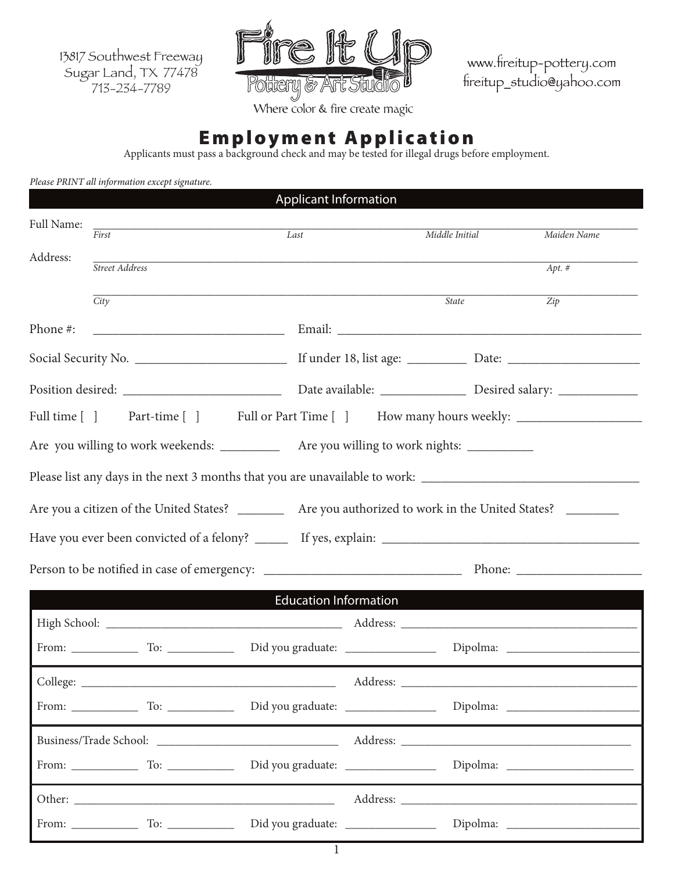13817 Southwest Freeway Sugar Land, TX 77478 713-234-7789



www.fireitup-pottery.com fireitup\_studio@yahoo.com

Where color & fire create magic

# Employment Application

Applicants must pass a background check and may be tested for illegal drugs before employment.

|            | Please PRINT all information except signature. | <b>Applicant Information</b> |                                                                                                                       |                  |
|------------|------------------------------------------------|------------------------------|-----------------------------------------------------------------------------------------------------------------------|------------------|
| Full Name: |                                                |                              |                                                                                                                       |                  |
|            | $\overline{First}$                             | Last                         | Middle Initial                                                                                                        | Maiden Name      |
| Address:   | Street Address                                 |                              | <u> 1989 - Johann Barn, amerikan bernama di sebagai bernama di sebagai bernama di sebagai bernama di sebagai bern</u> | $Apt.$ #         |
|            | $\overline{City}$                              |                              | <b>State</b>                                                                                                          | $\overline{Zip}$ |
| Phone #:   |                                                |                              |                                                                                                                       |                  |
|            |                                                |                              |                                                                                                                       |                  |
|            |                                                |                              |                                                                                                                       |                  |
|            |                                                |                              | Full time [] Part-time [] Full or Part Time [] How many hours weekly: ___________                                     |                  |
|            |                                                |                              | Are you willing to work weekends: ____________ Are you willing to work nights: ___________                            |                  |
|            |                                                |                              | Please list any days in the next 3 months that you are unavailable to work: __________________________________        |                  |
|            |                                                |                              | Are you a citizen of the United States? ___________ Are you authorized to work in the United States? _________        |                  |
|            |                                                |                              |                                                                                                                       |                  |
|            |                                                |                              |                                                                                                                       |                  |
|            |                                                |                              | <b>Education Information Example 2018</b>                                                                             |                  |
|            |                                                |                              |                                                                                                                       |                  |
|            |                                                |                              |                                                                                                                       |                  |
|            |                                                |                              |                                                                                                                       |                  |
|            |                                                |                              |                                                                                                                       |                  |
|            |                                                |                              |                                                                                                                       |                  |
|            |                                                |                              |                                                                                                                       |                  |
|            |                                                |                              |                                                                                                                       |                  |
|            |                                                |                              |                                                                                                                       |                  |

1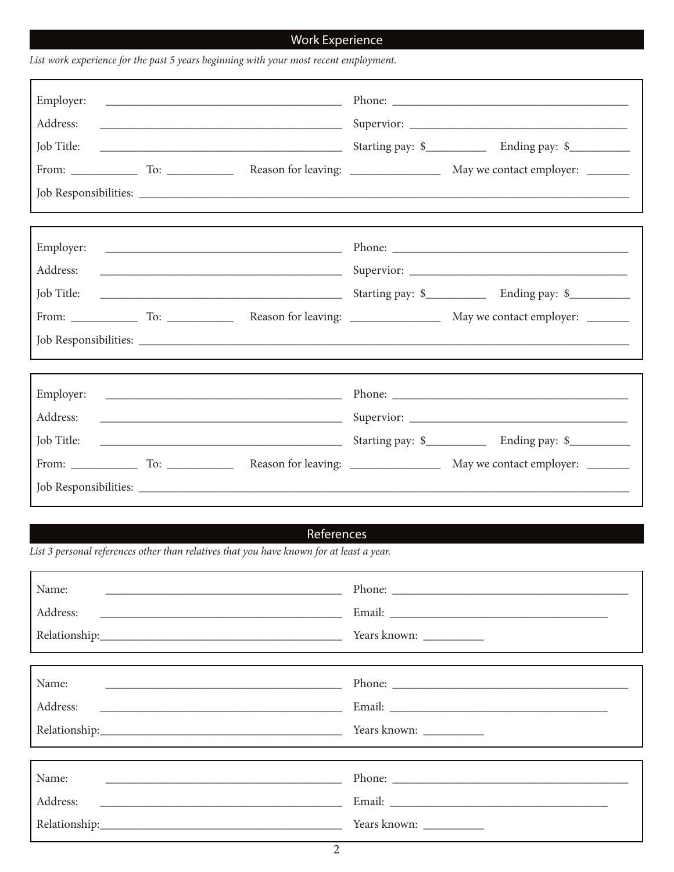## **Work Experience**

| Employer:<br>Address:<br><u> Alexandro de la contrada de la contrada de la contrada de la contrada de la contrada de la contrada de la co</u><br>Job Title:                                                                                                                            |  |
|----------------------------------------------------------------------------------------------------------------------------------------------------------------------------------------------------------------------------------------------------------------------------------------|--|
| Address:<br>Job Title:                                                                                                                                                                                                                                                                 |  |
| Employer:<br>Address:<br><u> 1989 - Johann Harry Harry Harry Harry Harry Harry Harry Harry Harry Harry Harry Harry Harry Harry Harry Harry</u><br>Job Title:<br><u> Alexandro Alexandro Alexandro Alexandro Alexandro Alexandro Alexandro Alexandro Alexandro Alexandro Alexandro </u> |  |

## References

List 3 personal references other than relatives that you have known for at least a year.

List work experience for the past 5 years beginning with your most recent employment.

| Name: |  |
|-------|--|